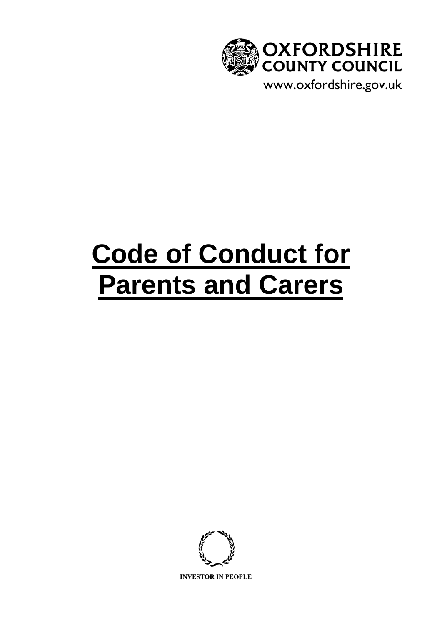

# **Code of Conduct for Parents and Carers**

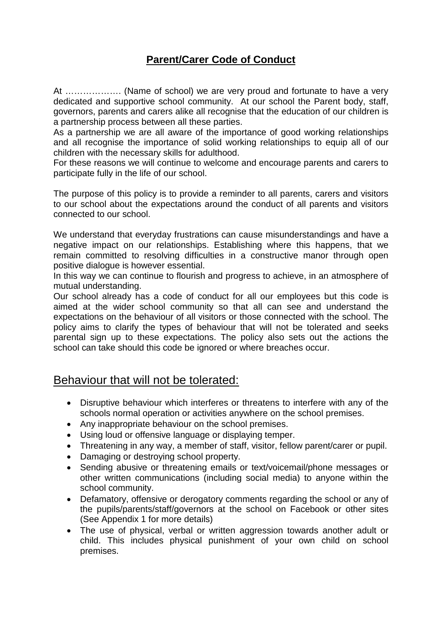# **Parent/Carer Code of Conduct**

At ………………. (Name of school) we are very proud and fortunate to have a very dedicated and supportive school community. At our school the Parent body, staff, governors, parents and carers alike all recognise that the education of our children is a partnership process between all these parties.

As a partnership we are all aware of the importance of good working relationships and all recognise the importance of solid working relationships to equip all of our children with the necessary skills for adulthood.

For these reasons we will continue to welcome and encourage parents and carers to participate fully in the life of our school.

The purpose of this policy is to provide a reminder to all parents, carers and visitors to our school about the expectations around the conduct of all parents and visitors connected to our school.

We understand that everyday frustrations can cause misunderstandings and have a negative impact on our relationships. Establishing where this happens, that we remain committed to resolving difficulties in a constructive manor through open positive dialogue is however essential.

In this way we can continue to flourish and progress to achieve, in an atmosphere of mutual understanding.

Our school already has a code of conduct for all our employees but this code is aimed at the wider school community so that all can see and understand the expectations on the behaviour of all visitors or those connected with the school. The policy aims to clarify the types of behaviour that will not be tolerated and seeks parental sign up to these expectations. The policy also sets out the actions the school can take should this code be ignored or where breaches occur.

## Behaviour that will not be tolerated:

- Disruptive behaviour which interferes or threatens to interfere with any of the schools normal operation or activities anywhere on the school premises.
- Any inappropriate behaviour on the school premises.
- Using loud or offensive language or displaying temper.
- Threatening in any way, a member of staff, visitor, fellow parent/carer or pupil.
- Damaging or destroying school property.
- Sending abusive or threatening emails or text/voicemail/phone messages or other written communications (including social media) to anyone within the school community.
- Defamatory, offensive or derogatory comments regarding the school or any of the pupils/parents/staff/governors at the school on Facebook or other sites (See Appendix 1 for more details)
- The use of physical, verbal or written aggression towards another adult or child. This includes physical punishment of your own child on school premises.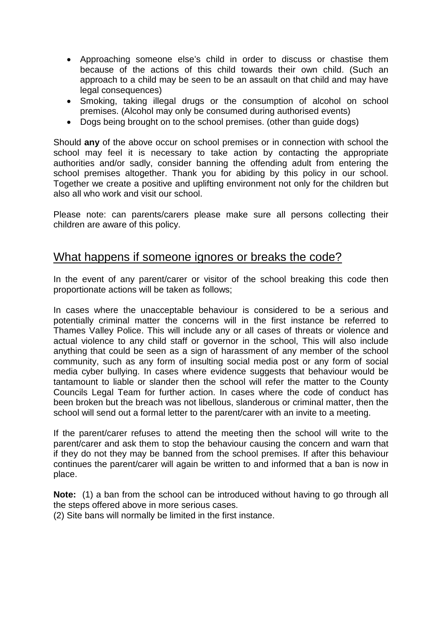- Approaching someone else's child in order to discuss or chastise them because of the actions of this child towards their own child. (Such an approach to a child may be seen to be an assault on that child and may have legal consequences)
- Smoking, taking illegal drugs or the consumption of alcohol on school premises. (Alcohol may only be consumed during authorised events)
- Dogs being brought on to the school premises. (other than guide dogs)

Should **any** of the above occur on school premises or in connection with school the school may feel it is necessary to take action by contacting the appropriate authorities and/or sadly, consider banning the offending adult from entering the school premises altogether. Thank you for abiding by this policy in our school. Together we create a positive and uplifting environment not only for the children but also all who work and visit our school.

Please note: can parents/carers please make sure all persons collecting their children are aware of this policy.

### What happens if someone ignores or breaks the code?

In the event of any parent/carer or visitor of the school breaking this code then proportionate actions will be taken as follows;

In cases where the unacceptable behaviour is considered to be a serious and potentially criminal matter the concerns will in the first instance be referred to Thames Valley Police. This will include any or all cases of threats or violence and actual violence to any child staff or governor in the school, This will also include anything that could be seen as a sign of harassment of any member of the school community, such as any form of insulting social media post or any form of social media cyber bullying. In cases where evidence suggests that behaviour would be tantamount to liable or slander then the school will refer the matter to the County Councils Legal Team for further action. In cases where the code of conduct has been broken but the breach was not libellous, slanderous or criminal matter, then the school will send out a formal letter to the parent/carer with an invite to a meeting.

If the parent/carer refuses to attend the meeting then the school will write to the parent/carer and ask them to stop the behaviour causing the concern and warn that if they do not they may be banned from the school premises. If after this behaviour continues the parent/carer will again be written to and informed that a ban is now in place.

**Note:** (1) a ban from the school can be introduced without having to go through all the steps offered above in more serious cases.

(2) Site bans will normally be limited in the first instance.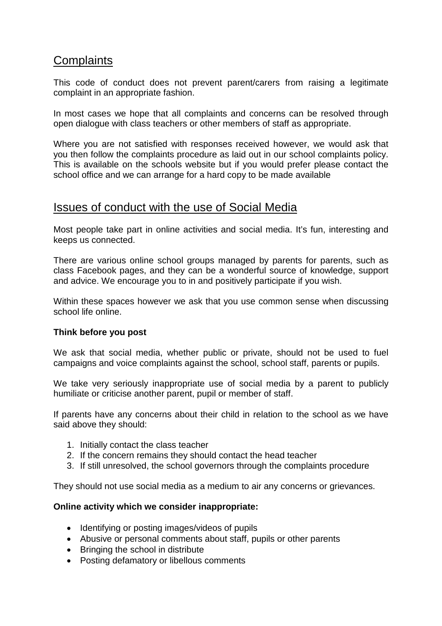# **Complaints**

This code of conduct does not prevent parent/carers from raising a legitimate complaint in an appropriate fashion.

In most cases we hope that all complaints and concerns can be resolved through open dialogue with class teachers or other members of staff as appropriate.

Where you are not satisfied with responses received however, we would ask that you then follow the complaints procedure as laid out in our school complaints policy. This is available on the schools website but if you would prefer please contact the school office and we can arrange for a hard copy to be made available

## Issues of conduct with the use of Social Media

Most people take part in online activities and social media. It's fun, interesting and keeps us connected.

There are various online school groups managed by parents for parents, such as class Facebook pages, and they can be a wonderful source of knowledge, support and advice. We encourage you to in and positively participate if you wish.

Within these spaces however we ask that you use common sense when discussing school life online.

#### **Think before you post**

We ask that social media, whether public or private, should not be used to fuel campaigns and voice complaints against the school, school staff, parents or pupils.

We take very seriously inappropriate use of social media by a parent to publicly humiliate or criticise another parent, pupil or member of staff.

If parents have any concerns about their child in relation to the school as we have said above they should:

- 1. Initially contact the class teacher
- 2. If the concern remains they should contact the head teacher
- 3. If still unresolved, the school governors through the complaints procedure

They should not use social media as a medium to air any concerns or grievances.

#### **Online activity which we consider inappropriate:**

- Identifying or posting images/videos of pupils
- Abusive or personal comments about staff, pupils or other parents
- Bringing the school in distribute
- Posting defamatory or libellous comments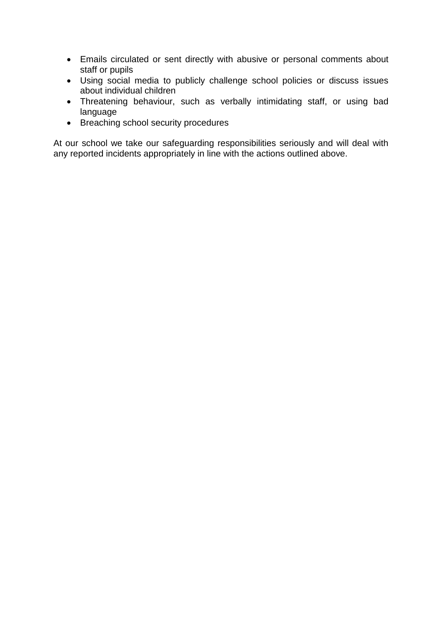- Emails circulated or sent directly with abusive or personal comments about staff or pupils
- Using social media to publicly challenge school policies or discuss issues about individual children
- Threatening behaviour, such as verbally intimidating staff, or using bad language
- Breaching school security procedures

At our school we take our safeguarding responsibilities seriously and will deal with any reported incidents appropriately in line with the actions outlined above.